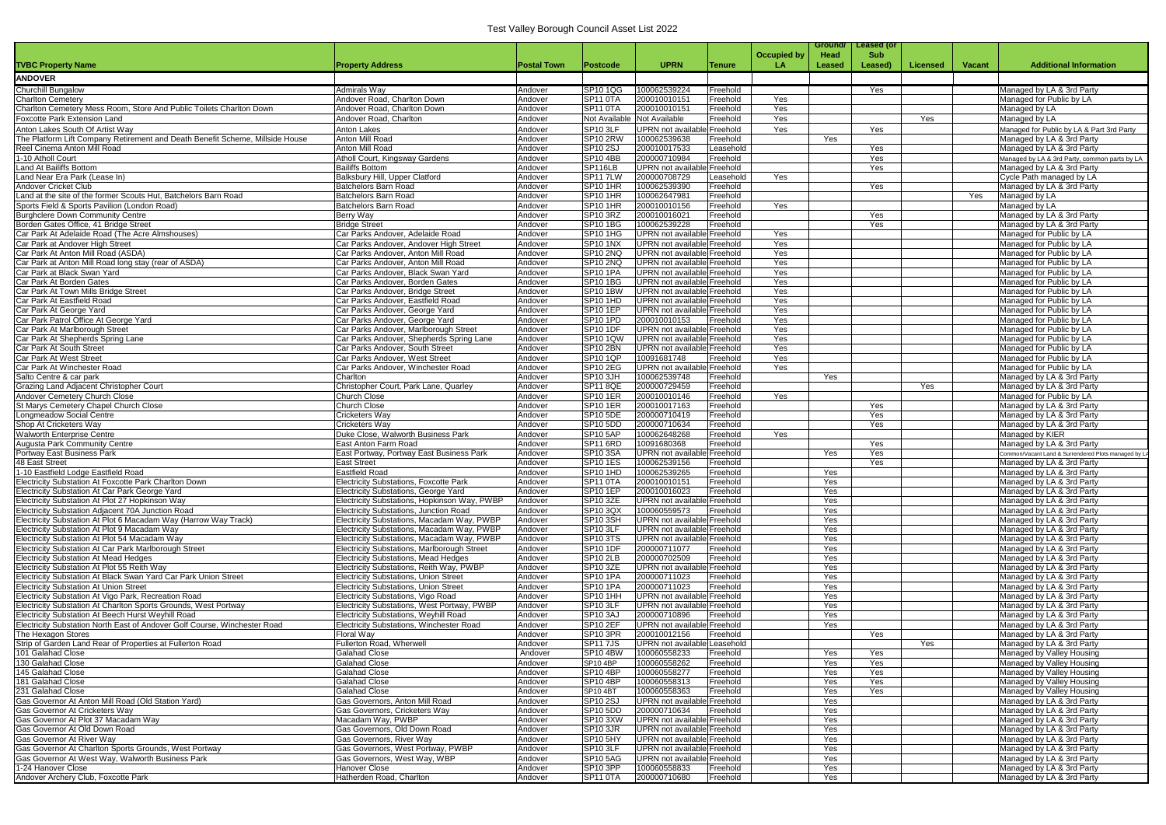|                                                                                                                       |                                                                                             |                    |                                         |                                                    |                      |                    | Ground/    | <b>Leased (or</b> |          |               |                                                        |
|-----------------------------------------------------------------------------------------------------------------------|---------------------------------------------------------------------------------------------|--------------------|-----------------------------------------|----------------------------------------------------|----------------------|--------------------|------------|-------------------|----------|---------------|--------------------------------------------------------|
|                                                                                                                       |                                                                                             |                    |                                         |                                                    |                      | <b>Occupied by</b> | Head       | <b>Sub</b>        |          |               |                                                        |
| <b>TVBC Property Name</b>                                                                                             | <b>Property Address</b>                                                                     | <b>Postal Town</b> | Postcode                                | <b>UPRN</b>                                        | Tenure               | LA.                | Leased     | Leased)           | Licensed | <b>Vacant</b> | <b>Additional Information</b>                          |
| <b>ANDOVER</b>                                                                                                        |                                                                                             |                    |                                         |                                                    |                      |                    |            |                   |          |               |                                                        |
| <b>Churchill Bungalow</b>                                                                                             | <b>Admirals Way</b>                                                                         | Andover            | SP10 1QG                                | 100062539224                                       | Freehold             |                    |            | Yes               |          |               | Managed by LA & 3rd Party                              |
| <b>Charlton Cemetery</b>                                                                                              | Andover Road, Charlton Down                                                                 | Andover            | SP <sub>11</sub> oTA                    | 200010010151                                       | Freehold             | Yes                |            |                   |          |               | Managed for Public by LA                               |
| Charlton Cemetery Mess Room, Store And Public Toilets Charlton Down                                                   | Andover Road, Charlton Down                                                                 | Andover            | SP11 0TA                                | 200010010151                                       | Freehold             | Yes                |            |                   |          |               | Managed by LA                                          |
| Foxcotte Park Extension Land                                                                                          | Andover Road, Charlton                                                                      | Andover            |                                         | Not Available Not Available                        | Freehold             | Yes                |            |                   | Yes      |               | Managed by LA                                          |
| Anton Lakes South Of Artist Way                                                                                       | <b>Anton Lakes</b>                                                                          | Andover            | SP <sub>10</sub> 3LF                    | <b>UPRN</b> not available                          | Freehold             | Yes                |            | Yes               |          |               | Managed for Public by LA & Part 3rd Party              |
| The Platform Lift Company Retirement and Death Benefit Scheme, Millside House                                         | Anton Mill Road                                                                             | Andover            | <b>SP10 2RW</b>                         | 100062539638                                       | Freehold             |                    | Yes        |                   |          |               | Managed by LA & 3rd Party                              |
| Reel Cinema Anton Mill Road                                                                                           | Anton Mill Road                                                                             | Andover            | <b>SP10 2SJ</b>                         | 200010017533                                       | Leasehold            |                    |            | Yes               |          |               | Managed by LA & 3rd Party                              |
| 1-10 Atholl Court                                                                                                     | Atholl Court, Kingsway Gardens                                                              | Andover            | <b>SP10 4BB</b>                         | 200000710984                                       | Freehold             |                    |            | Yes               |          |               | Managed by LA & 3rd Party, common parts by LA          |
| Land At Bailiffs Bottom                                                                                               | <b>Bailiffs Bottom</b>                                                                      | Andover            | SP116LB                                 | <b>UPRN</b> not availab                            | Freehold             |                    |            | Yes               |          |               | Managed by LA & 3rd Party                              |
| Land Near Era Park (Lease In)<br>Andover Cricket Club                                                                 | Balksbury Hill, Upper Clatford                                                              | Andover            | <b>SP11 7LW</b><br><b>SP10 1HR</b>      | 200000708729                                       | Leasehold            | Yes                |            |                   |          |               | Cycle Path managed by LA                               |
| Land at the site of the former Scouts Hut, Batchelors Barn Road                                                       | Batchelors Barn Road<br><b>Batchelors Barn Road</b>                                         | Andover<br>Andover | SP <sub>10</sub> 1HR                    | 100062539390<br>100062647981                       | Freehold<br>Freehold |                    |            | Yes               |          | Yes           | Managed by LA & 3rd Party<br>Managed by LA             |
| Sports Field & Sports Pavilion (London Road)                                                                          | Batchelors Barn Road                                                                        | Andover            | <b>SP10 1HR</b>                         | 200010010156                                       | Freehold             | Yes                |            |                   |          |               | Managed by LA                                          |
| <b>Burghclere Down Community Centre</b>                                                                               | <b>Berry Way</b>                                                                            | Andover            | SP <sub>10</sub> 3RZ                    | 200010016021                                       | Freehold             |                    |            | Yes               |          |               | Managed by LA & 3rd Party                              |
| Borden Gates Office, 41 Bridge Street                                                                                 | <b>Bridge Street</b>                                                                        | Andover            | <b>SP10 1BG</b>                         | 100062539228                                       | Freehold             |                    |            | Yes               |          |               | Managed by LA & 3rd Party                              |
| Car Park At Adelaide Road (The Acre Almshouses)                                                                       | Car Parks Andover, Adelaide Road                                                            | Andover            | <b>SP10 1HG</b>                         | <b>UPRN</b> not available                          | Freehold             | Yes                |            |                   |          |               | Managed for Public by LA                               |
| Car Park at Andover High Street                                                                                       | Car Parks Andover, Andover High Street                                                      | Andover            | <b>SP10 1NX</b>                         | <b>UPRN</b> not available                          | Freehold             | Yes                |            |                   |          |               | Managed for Public by LA                               |
| Car Park At Anton Mill Road (ASDA)                                                                                    | Car Parks Andover, Anton Mill Road                                                          | Andover            | <b>SP10 2NQ</b>                         | UPRN not available Freehold                        |                      | Yes                |            |                   |          |               | Managed for Public by LA                               |
| Car Park at Anton Mill Road long stay (rear of ASDA)                                                                  | Car Parks Andover, Anton Mill Road                                                          | Andover            | SP10 2NQ                                | <b>UPRN</b> not available                          | Freehold             | Yes                |            |                   |          |               | Managed for Public by LA                               |
| Car Park at Black Swan Yard                                                                                           | Car Parks Andover, Black Swan Yard                                                          | Andover            | <b>SP10 1PA</b>                         | UPRN not available Freehold                        |                      | Yes                |            |                   |          |               | Managed for Public by LA                               |
| Car Park At Borden Gates                                                                                              | Car Parks Andover, Borden Gates                                                             | Andover            | <b>SP10 1BG</b>                         | <b>UPRN</b> not available                          | Freehold             | Yes                |            |                   |          |               | Managed for Public by LA                               |
| Car Park At Town Mills Bridge Street                                                                                  | Car Parks Andover, Bridge Street                                                            | Andover            | <b>SP10 1BW</b>                         | <b>UPRN</b> not available Freehold                 |                      | Yes                |            |                   |          |               | Managed for Public by LA                               |
| Car Park At Eastfield Road                                                                                            | Car Parks Andover, Eastfield Road                                                           | Andover            | SP <sub>10</sub> 1HD                    | <b>UPRN</b> not available Freehold                 |                      | Yes                |            |                   |          |               | Managed for Public by LA                               |
| Car Park At George Yard                                                                                               | Car Parks Andover, George Yard                                                              | Andover            | <b>SP10 1EP</b>                         | <b>UPRN</b> not available                          | Freehold             | Yes                |            |                   |          |               | Managed for Public by LA                               |
| Car Park Patrol Office At George Yard<br>Car Park At Marlborough Street                                               | Car Parks Andover, George Yard<br>Car Parks Andover, Marlborough Street                     | Andover<br>Andover | SP10 1PD<br><b>SP10 1DF</b>             | 200010010153<br><b>UPRN</b> not available          | Freehold<br>Freehold | Yes<br>Yes         |            |                   |          |               | Managed for Public by LA<br>Managed for Public by LA   |
| Car Park At Shepherds Spring Lane                                                                                     | Car Parks Andover, Shepherds Spring Lane                                                    | Andover            | <b>SP10 1QW</b>                         | <b>UPRN</b> not available                          | Freehold             | Yes                |            |                   |          |               | Managed for Public by LA                               |
| Car Park At South Street                                                                                              | Car Parks Andover, South Street                                                             | Andover            | <b>SP10 2BN</b>                         | <b>UPRN</b> not available                          | Freehold             | Yes                |            |                   |          |               | Managed for Public by LA                               |
| <b>Car Park At West Street</b>                                                                                        | Car Parks Andover, West Street                                                              | Andover            | <b>SP10 1QP</b>                         | 10091681748                                        | Freehold             | Yes                |            |                   |          |               | Managed for Public by LA                               |
| Car Park At Winchester Road                                                                                           | Car Parks Andover, Winchester Road                                                          | Andover            | <b>SP10 2EG</b>                         | UPRN not available                                 | Freehold             | Yes                |            |                   |          |               | Managed for Public by LA                               |
| Salto Centre & car park                                                                                               | Charlton                                                                                    | Andover            | SP <sub>10</sub> 3JH                    | 100062539748                                       | Freehold             |                    | Yes        |                   |          |               | Managed by LA & 3rd Party                              |
| Grazing Land Adjacent Christopher Court                                                                               | Christopher Court, Park Lane, Quarley                                                       | Andover            | <b>SP11 8QE</b>                         | 200000729459                                       | Freehold             |                    |            |                   | Yes      |               | Managed by LA & 3rd Party                              |
| Andover Cemetery Church Close                                                                                         | <b>Church Close</b>                                                                         | Andover            | <b>SP10 1ER</b>                         | 200010010146                                       | Freehold             | Yes                |            |                   |          |               | Managed for Public by LA                               |
| St Marys Cemetery Chapel Church Close                                                                                 | <b>Church Close</b>                                                                         | Andover            | <b>SP10 1ER</b>                         | 200010017163                                       | Freehold             |                    |            | Yes               |          |               | Managed by LA & 3rd Party                              |
| Longmeadow Social Centre                                                                                              | Cricketers Way                                                                              | Andover            | <b>SP10 5DE</b>                         | 200000710419                                       | Freehold             |                    |            | Yes               |          |               | Managed by LA & 3rd Party                              |
| Shop At Cricketers Way                                                                                                | Cricketers Wav                                                                              | Andover            | SP10 5DD                                | 200000710634                                       | Freehold             |                    |            | Yes               |          |               | Managed by LA & 3rd Party                              |
| <b>Walworth Enterprise Centre</b>                                                                                     | Duke Close, Walworth Business Park                                                          | Andover            | <b>SP10 5AP</b>                         | 100062648268                                       | Freehold             | Yes                |            |                   |          |               | Managed by KIER                                        |
| <b>Augusta Park Community Centre</b>                                                                                  | East Anton Farm Road                                                                        | Andover            | SP <sub>11</sub> 6RD                    | 10091680368                                        | Freehold             |                    |            | Yes               |          |               | Managed by LA & 3rd Party                              |
| Portway East Business Park                                                                                            | East Portway, Portway East Business Park                                                    | Andover            | <b>SP10 3SA</b>                         | <b>UPRN</b> not availabl                           | Freehold             |                    | Yes        | Yes               |          |               | Common/Vacant Land & Surrendered Plots managed by LA   |
| 48 East Street<br>1-10 Eastfield Lodge Eastfield Road                                                                 | <b>East Street</b><br>Eastfield Road                                                        | Andover<br>Andover | <b>SP10 1ES</b><br>SP <sub>10</sub> 1HD | 100062539156<br>100062539265                       | Freehold<br>Freehold |                    | Yes        | Yes               |          |               | Managed by LA & 3rd Party<br>Managed by LA & 3rd Party |
| Electricity Substation At Foxcotte Park Charlton Down                                                                 | <b>Electricity Substations, Foxcotte Park</b>                                               | Andover            | SP11 0TA                                | 200010010151                                       | Freehold             |                    | Yes        |                   |          |               | Managed by LA & 3rd Party                              |
| Electricity Substation At Car Park George Yard                                                                        | Electricity Substations, George Yard                                                        | Andover            | <b>SP10 1EP</b>                         | 200010016023                                       | Freehold             |                    | Yes        |                   |          |               | Managed by LA & 3rd Party                              |
| Electricity Substation At Plot 27 Hopkinson Way                                                                       | Electricity Substations, Hopkinson Way, PWBP                                                | Andover            | SP10 3ZE                                | UPRN not available                                 | <b>Freehold</b>      |                    | Yes        |                   |          |               | Managed by LA & 3rd Party                              |
| Electricity Substation Adjacent 70A Junction Road                                                                     | <b>Electricity Substations, Junction Road</b>                                               | Andover            | SP10 3QX                                | 100060559573                                       | Freehold             |                    | Yes        |                   |          |               | Managed by LA & 3rd Party                              |
| Electricity Substation At Plot 6 Macadam Way (Harrow Way Track)                                                       | Electricity Substations, Macadam Way, PWBP                                                  | Andover            | SP <sub>10</sub> 3SH                    | <b>UPRN</b> not available Freehold                 |                      |                    | Yes        |                   |          |               | Managed by LA & 3rd Party                              |
| Electricity Substation At Plot 9 Macadam Way                                                                          | Electricity Substations, Macadam Way, PWBP                                                  | Andover            | SP10 3LF                                | UPRN not available Freehold                        |                      |                    | Yes        |                   |          |               | Managed by LA & 3rd Party                              |
| Electricity Substation At Plot 54 Macadam Way                                                                         | Electricity Substations, Macadam Way, PWBP                                                  | Andover            | <b>SP10 3TS</b>                         | UPRN not available Freehold                        |                      |                    | Yes        |                   |          |               | Managed by LA & 3rd Party                              |
| Electricity Substation At Car Park Marlborough Street                                                                 | <b>Electricity Substations, Marlborough Street</b>                                          | Andover            | SP10 1DF                                | 200000711077                                       | Freehold             |                    | Yes        |                   |          |               | Managed by LA & 3rd Party                              |
| <b>Electricity Substation At Mead Hedges</b>                                                                          | <b>Electricity Substations, Mead Hedges</b>                                                 | Andover            | <b>SP10 2LB</b>                         | 200000702509                                       | Freehold             |                    | Yes        |                   |          |               | Managed by LA & 3rd Party                              |
| Electricity Substation At Plot 55 Reith Way                                                                           | Electricity Substations, Reith Way, PWBP                                                    | Andover            | SP10 3ZE                                | <b>UPRN</b> not available                          | <b>Freehold</b>      |                    | Yes        |                   |          |               | Managed by LA & 3rd Party                              |
| Electricity Substation At Black Swan Yard Car Park Union Street                                                       | <b>Electricity Substations, Union Street</b>                                                | Andover            | <b>SP10 1PA</b>                         | 200000711023                                       | Freehold             |                    | Yes        |                   |          |               | Managed by LA & 3rd Party                              |
| <b>Electricity Substation At Union Street</b>                                                                         | <b>Electricity Substations, Union Street</b>                                                | Andover            | <b>SP10 1PA</b>                         | 200000711023                                       | Freehold             |                    | Yes        |                   |          |               | Managed by LA & 3rd Party                              |
| Electricity Substation At Vigo Park, Recreation Road                                                                  | Electricity Substations, Vigo Road                                                          | Andover            | <b>SP10 1HH</b>                         | UPRN not available                                 | <b>Freehold</b>      |                    | Yes        |                   |          |               | Managed by LA & 3rd Party                              |
| Electricity Substation At Charlton Sports Grounds, West Portway<br>Electricity Substation At Beech Hurst Weyhill Road | Electricity Substations, West Portway, PWBP<br><b>Electricity Substations, Weyhill Road</b> | Andover            | SP10 3LF<br><b>SP10 3AJ</b>             | <b>UPRN</b> not available Freehold<br>200000710896 |                      |                    | Yes        |                   |          |               | Managed by LA & 3rd Party<br>Managed by LA & 3rd Party |
| Electricity Substation North East of Andover Golf Course, Winchester Road                                             | Electricity Substations, Winchester Road                                                    | Andover<br>Andover | SP10 2EF                                | UPRN not available Freehold                        | Freehold             |                    | Yes<br>Yes |                   |          |               | Managed by LA & 3rd Party                              |
| The Hexagon Stores                                                                                                    | Floral Wav                                                                                  | Andover            | SP <sub>10</sub> 3PR                    | 200010012156                                       | Freehold             |                    |            | Yes               |          |               | Managed by LA & 3rd Party                              |
| Strip of Garden Land Rear of Properties at Fullerton Road                                                             | Fullerton Road, Wherwell                                                                    | Andover            | <b>SP117JS</b>                          | <b>UPRN</b> not available                          | Leasehold            |                    |            |                   | Yes      |               | Managed by LA & 3rd Party                              |
| 101 Galahad Close                                                                                                     | <b>Galahad Close</b>                                                                        | Andover            | <b>SP10 4BW</b>                         | 100060558233                                       | Freehold             |                    | Yes        | Yes               |          |               | Managed by Valley Housing                              |
| 130 Galahad Close                                                                                                     | <b>Galahad Close</b>                                                                        | Andover            | SP10 4BP                                | 100060558262                                       | Freehold             |                    | Yes        | Yes               |          |               | Managed by Valley Housing                              |
| 145 Galahad Close                                                                                                     | <b>Galahad Close</b>                                                                        | Andover            | <b>SP10 4BP</b>                         | 100060558277                                       | Freehold             |                    | Yes        | Yes               |          |               | Managed by Valley Housing                              |
| 181 Galahad Close                                                                                                     | <b>Galahad Close</b>                                                                        | Andover            | <b>SP10 4BP</b>                         | 100060558313                                       | Freehold             |                    | Yes        | Yes               |          |               | Managed by Valley Housing                              |
| 231 Galahad Close                                                                                                     | <b>Galahad Close</b>                                                                        | Andover            | <b>SP10 4BT</b>                         | 100060558363                                       | Freehold             |                    | Yes        | Yes               |          |               | Managed by Valley Housing                              |
| Gas Governor At Anton Mill Road (Old Station Yard)                                                                    | Gas Governors, Anton Mill Road                                                              | Andover            | <b>SP10 2SJ</b>                         | <b>UPRN</b> not available                          | <b>Freehold</b>      |                    | Yes        |                   |          |               | Managed by LA & 3rd Party                              |
| Gas Governor At Cricketers Way                                                                                        | Gas Governors, Cricketers Way                                                               | Andover            | <b>SP10 5DD</b>                         | 200000710634                                       | Freehold             |                    | Yes        |                   |          |               | Managed by LA & 3rd Party                              |
| Gas Governor At Plot 37 Macadam Way                                                                                   | Macadam Way, PWBP                                                                           | Andover            | <b>SP10 3XW</b>                         | <b>UPRN</b> not available Freehold                 |                      |                    | Yes        |                   |          |               | Managed by LA & 3rd Party                              |
| Gas Governor At Old Down Road                                                                                         | Gas Governors, Old Down Road                                                                | Andover            | SP <sub>10</sub> 3JR                    | UPRN not available Freehold                        |                      |                    | Yes        |                   |          |               | Managed by LA & 3rd Party                              |
| Gas Governor At River Way                                                                                             | Gas Governors, River Way                                                                    | Andover            | <b>SP10 5HY</b>                         | UPRN not available Freehold                        |                      |                    | Yes        |                   |          |               | Managed by LA & 3rd Party                              |
| Gas Governor At Charlton Sports Grounds, West Portway                                                                 | Gas Governors, West Portway, PWBP                                                           | Andover            | SP10 3LF                                | UPRN not available Freehold                        |                      |                    | Yes        |                   |          |               | Managed by LA & 3rd Party                              |
| Gas Governor At West Way, Walworth Business Park                                                                      | Gas Governors, West Way, WBP                                                                | Andover            | <b>SP10 5AG</b>                         | UPRN not available Freehold                        |                      |                    | Yes        |                   |          |               | Managed by LA & 3rd Party                              |
| 1-24 Hanover Close                                                                                                    | Hanover Close                                                                               | Andover            | SP <sub>10</sub> 3PP                    | 100060558833                                       | Freehold             |                    | Yes        |                   |          |               | Managed by LA & 3rd Party                              |
| Andover Archery Club, Foxcotte Park                                                                                   | Hatherden Road, Charlton                                                                    | Andover            | SP <sub>11</sub> OTA                    | 200000710680                                       | Freehold             |                    | Yes        |                   |          |               | Managed by LA & 3rd Party                              |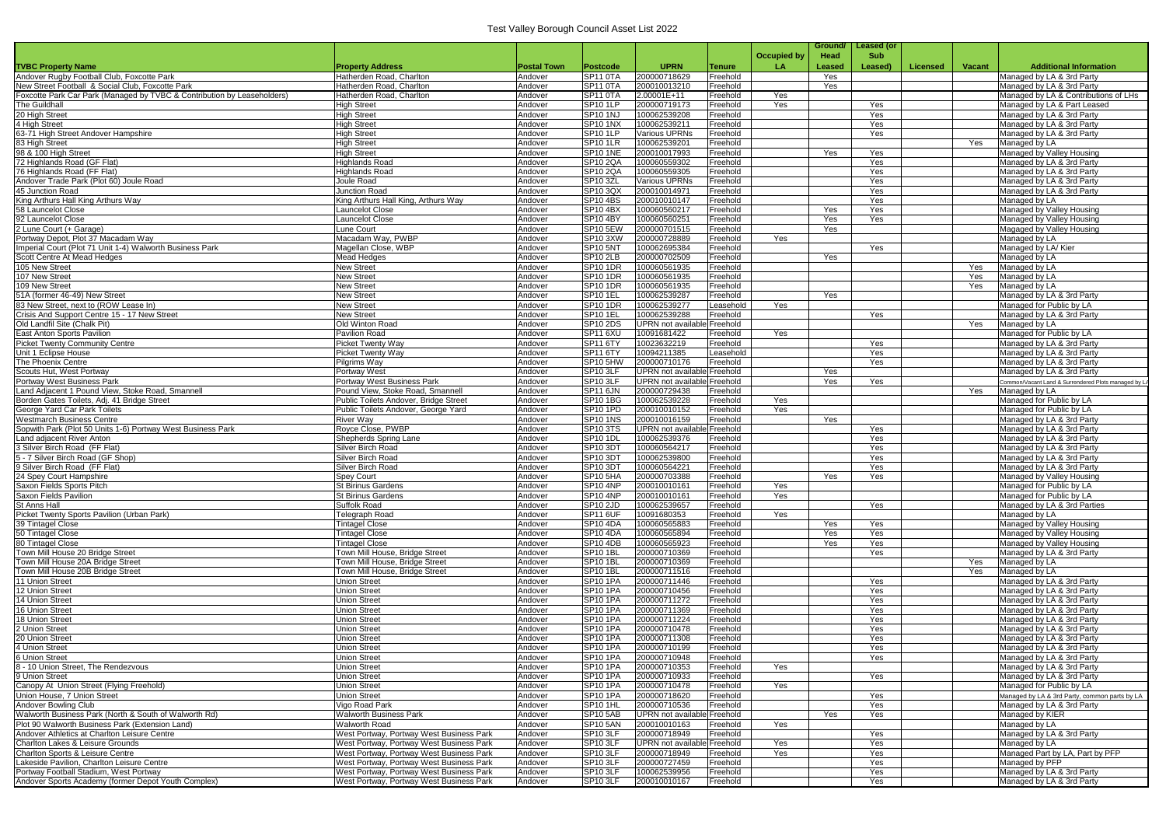|                                                                                                                             |                                                         |                    |                                              |                                         |                       |             | Ground/    | Leased (or |                 |               |                                                                   |
|-----------------------------------------------------------------------------------------------------------------------------|---------------------------------------------------------|--------------------|----------------------------------------------|-----------------------------------------|-----------------------|-------------|------------|------------|-----------------|---------------|-------------------------------------------------------------------|
|                                                                                                                             |                                                         |                    |                                              |                                         |                       | Occupied by | Head       | <b>Sub</b> |                 |               |                                                                   |
| <b>TVBC Property Name</b>                                                                                                   | <b>Property Address</b>                                 | <b>Postal Town</b> | Postcode                                     | <b>UPRN</b>                             | Tenure                | <b>LA</b>   | Leased     | Leased)    | <b>Licensed</b> | <b>Vacant</b> | <b>Additional Information</b>                                     |
| Andover Rugby Football Club, Foxcotte Park                                                                                  | Hatherden Road, Charlton                                | Andover            | <b>SP11 0TA</b>                              | 200000718629                            | Freehold              |             | Yes        |            |                 |               | Managed by LA & 3rd Party                                         |
| New Street Football & Social Club, Foxcotte Park<br>Foxcotte Park Car Park (Managed by TVBC & Contribution by Leaseholders) | Hatherden Road, Charlton<br>Hatherden Road, Charlton    | Andover<br>Andover | SP11 0TA<br>SP11 0TA                         | 200010013210<br>2.00001E+11             | Freehold<br>Freehold  | Yes         | Yes        |            |                 |               | Managed by LA & 3rd Party<br>Managed by LA & Contributions of LHs |
| The Guildhall                                                                                                               | <b>High Street</b>                                      | Andover            | SP <sub>10</sub> 1LP                         | 200000719173                            | Freehold              | Yes         |            | Yes        |                 |               | Managed by LA & Part Leased                                       |
| 20 High Street                                                                                                              | <b>High Street</b>                                      | Andover            | <b>SP10 1NJ</b>                              | 100062539208                            | Freehold              |             |            | Yes        |                 |               | Managed by LA & 3rd Party                                         |
| 4 High Street                                                                                                               | <b>High Street</b>                                      | Andover            | <b>SP10 1NX</b>                              | 100062539211                            | Freehold              |             |            | Yes        |                 |               | Managed by LA & 3rd Party                                         |
| 63-71 High Street Andover Hampshire                                                                                         | <b>High Street</b>                                      | Andover            | <b>SP10 1LP</b>                              | Various UPRNs                           | Freehold              |             |            | Yes        |                 |               | Managed by LA & 3rd Party                                         |
| 83 High Street                                                                                                              | <b>High Street</b>                                      | Andover            | SP <sub>10</sub> 1LR                         | 100062539201<br>200010017993            | Freehold              |             |            |            |                 | Yes           | Managed by LA                                                     |
| 98 & 100 High Street<br>72 Highlands Road (GF Flat)                                                                         | <b>High Street</b><br><b>Highlands Road</b>             | Andover<br>Andover | <b>SP10 1NE</b><br>SP10 2QA                  | 100060559302                            | Freehold<br>Freehold  |             | Yes        | Yes<br>Yes |                 |               | Managed by Valley Housing<br>Managed by LA & 3rd Party            |
| 76 Highlands Road (FF Flat)                                                                                                 | <b>Highlands Road</b>                                   | Andover            | SP10 2QA                                     | 100060559305                            | Freehold              |             |            | Yes        |                 |               | Managed by LA & 3rd Party                                         |
| Andover Trade Park (Plot 60) Joule Road                                                                                     | Joule Road                                              | Andover            | <b>SP10 3ZL</b>                              | <b>Various UPRNs</b>                    | Freehold              |             |            | Yes        |                 |               | Managed by LA & 3rd Party                                         |
| 45 Junction Road                                                                                                            | Junction Road                                           | Andover            | SP10 3QX                                     | 200010014971                            | Freehold              |             |            | Yes        |                 |               | Managed by LA & 3rd Party                                         |
| King Arthurs Hall King Arthurs Way                                                                                          | King Arthurs Hall King, Arthurs Way                     | Andover            | <b>SP10 4BS</b>                              | 200010010147                            | Freehold              |             |            | Yes        |                 |               | Managed by LA                                                     |
| 58 Launcelot Close<br>92 Launcelot Close                                                                                    | Launcelot Close<br><b>Launcelot Close</b>               | Andover<br>Andover | <b>SP10 4BX</b><br><b>SP10 4BY</b>           | 100060560217<br>100060560251            | Freehold<br>Freehold  |             | Yes<br>Yes | Yes<br>Yes |                 |               | Managed by Valley Housing<br>Managed by Valley Housing            |
| 2 Lune Court (+ Garage)                                                                                                     | Lune Court                                              | Andover            | <b>SP10 5EW</b>                              | 200000701515                            | Freehold              |             | Yes        |            |                 |               | Magaged by Valley Housing                                         |
| Portway Depot, Plot 37 Macadam Way                                                                                          | Macadam Way, PWBP                                       | Andover            | <b>SP10 3XW</b>                              | 200000728889                            | Freehold              | Yes         |            |            |                 |               | Managed by LA                                                     |
| Imperial Court (Plot 71 Unit 1-4) Walworth Business Park                                                                    | Magellan Close, WBP                                     | Andover            | <b>SP10 5NT</b>                              | 100062695384                            | Freehold              |             |            | Yes        |                 |               | Managed by LA/ Kier                                               |
| Scott Centre At Mead Hedges                                                                                                 | <b>Mead Hedges</b>                                      | Andover            | <b>SP10 2LB</b>                              | 200000702509                            | Freehold              |             | Yes        |            |                 |               | Managed by LA                                                     |
| 105 New Street                                                                                                              | <b>New Street</b>                                       | Andover            | <b>SP10 1DR</b>                              | 100060561935                            | Freehold              |             |            |            |                 | Yes           | Managed by LA                                                     |
| 107 New Street<br>109 New Street                                                                                            | <b>New Street</b><br><b>New Street</b>                  | Andover<br>Andover | <b>SP10 1DR</b><br><b>SP10 1DR</b>           | 100060561935<br>100060561935            | Freehold<br>Freehold  |             |            |            |                 | Yes<br>Yes    | Managed by LA<br>Managed by LA                                    |
| 51A (former 46-49) New Street                                                                                               | <b>New Street</b>                                       | Andover            | <b>SP10 1EL</b>                              | 100062539287                            | Freehold              |             | Yes        |            |                 |               | Managed by LA & 3rd Party                                         |
| 83 New Street, next to (ROW Lease In)                                                                                       | <b>New Street</b>                                       | Andover            | <b>SP10 1DR</b>                              | 100062539277                            | Leasehold             | Yes         |            |            |                 |               | Managed for Public by LA                                          |
| Crisis And Support Centre 15 - 17 New Street                                                                                | <b>New Street</b>                                       | Andover            | SP <sub>10</sub> 1EL                         | 100062539288                            | Freehold              |             |            | Yes        |                 |               | Managed by LA & 3rd Party                                         |
| Old Landfil Site (Chalk Pit)                                                                                                | Old Winton Road                                         | Andover            | <b>SP10 2DS</b>                              | <b>UPRN</b> not availabl                | <b>Freehold</b>       |             |            |            |                 | Yes           | Managed by LA                                                     |
| East Anton Sports Pavilion                                                                                                  | <b>Pavilion Road</b>                                    | Andover            | SP11 6XU                                     | 10091681422                             | Freehold              | Yes         |            |            |                 |               | Managed for Public by LA                                          |
| <b>Picket Twenty Community Centre</b><br>Unit 1 Eclipse House                                                               | <b>Picket Twenty Way</b><br><b>Picket Twenty Way</b>    | Andover<br>Andover | SP <sub>11</sub> 6TY<br><b>SP11 6TY</b>      | 10023632219<br>10094211385              | Freehold<br>Leasehold |             |            | Yes<br>Yes |                 |               | Managed by LA & 3rd Party<br>Managed by LA & 3rd Party            |
| The Phoenix Centre                                                                                                          | Pilgrims Way                                            | Andover            | SP10 5HW                                     | 200000710176                            | Freehold              |             |            | Yes        |                 |               | Managed by LA & 3rd Party                                         |
| Scouts Hut, West Portway                                                                                                    | <b>Portway West</b>                                     | Andover            | SP10 3LF                                     | <b>UPRN</b> not available               | Freehold              |             | Yes        |            |                 |               | Managed by LA & 3rd Party                                         |
| Portway West Business Park                                                                                                  | Portway West Business Park                              | Andover            | SP10 3LF                                     | <b>UPRN</b> not availabl                | Freehold              |             | Yes        | Yes        |                 |               | Common/Vacant Land & Surrendered Plots managed by LA              |
| Land Adjacent 1 Pound View, Stoke Road, Smannell                                                                            | Pound View, Stoke Road, Smannell                        | Andover            | <b>SP11 6JN</b>                              | 200000729438                            | Freehold              |             |            |            |                 | Yes           | Managed by LA                                                     |
| Borden Gates Toilets, Adj. 41 Bridge Street                                                                                 | Public Toilets Andover, Bridge Street                   | Andover            | <b>SP10 1BG</b>                              | 100062539228<br>200010010152            | Freehold<br>Freehold  | Yes<br>Yes  |            |            |                 |               | Managed for Public by LA                                          |
| George Yard Car Park Toilets<br><b>Westmarch Business Centre</b>                                                            | Public Toilets Andover, George Yard<br><b>River Way</b> | Andover<br>Andover | SP10 1PD<br><b>SP10 1NS</b>                  | 200010016159                            | Freehold              |             | Yes        |            |                 |               | Managed for Public by LA<br>Managed by LA & 3rd Party             |
| Sopwith Park (Plot 50 Units 1-6) Portway West Business Park                                                                 | Royce Close, PWBP                                       | Andover            | SP <sub>10</sub> 3TS                         | <b>UPRN</b> not availabl                | Freehold              |             |            | Yes        |                 |               | Managed by LA & 3rd Party                                         |
| Land adjacent River Anton                                                                                                   | Shepherds Spring Lane                                   | Andover            | <b>SP10 1DL</b>                              | 100062539376                            | Freehold              |             |            | Yes        |                 |               | Managed by LA & 3rd Party                                         |
| 3 Silver Birch Road (FF Flat)                                                                                               | Silver Birch Road                                       | Andover            | <b>SP10 3DT</b>                              | 100060564217                            | Freehold              |             |            | Yes        |                 |               | Managed by LA & 3rd Party                                         |
| 5 - 7 Silver Birch Road (GF Shop)                                                                                           | Silver Birch Road                                       | Andover            | <b>SP10 3DT</b>                              | 100062539800                            | Freehold              |             |            | Yes        |                 |               | Managed by LA & 3rd Party                                         |
| 9 Silver Birch Road (FF Flat)<br>24 Spev Court Hampshire                                                                    | Silver Birch Road<br>Spey Court                         | Andover<br>Andover | SP <sub>10</sub> 3DT<br>SP <sub>10</sub> 5HA | 100060564221<br>200000703388            | Freehold<br>Freehold  |             | Yes        | Yes<br>Yes |                 |               | Managed by LA & 3rd Party<br>Managed by Valley Housing            |
| Saxon Fields Sports Pitch                                                                                                   | <b>St Birinus Gardens</b>                               | Andover            | <b>SP10 4NP</b>                              | 200010010161                            | Freehold              | Yes         |            |            |                 |               | Managed for Public by LA                                          |
| Saxon Fields Pavilion                                                                                                       | <b>St Birinus Gardens</b>                               | Andover            | <b>SP10 4NP</b>                              | 200010010161                            | Freehold              | Yes         |            |            |                 |               | Managed for Public by LA                                          |
| St Anns Hall                                                                                                                | <b>Suffolk Road</b>                                     | Andover            | <b>SP10 2JD</b>                              | 100062539657                            | Freehold              |             |            | Yes        |                 |               | Managed by LA & 3rd Parties                                       |
| Picket Twenty Sports Pavilion (Urban Park)                                                                                  | <b>Telegraph Road</b>                                   | Andover            | SP11 6UF                                     | 10091680353                             | Freehold              | Yes         |            |            |                 |               | Managed by LA                                                     |
| 39 Tintagel Close<br>50 Tintagel Close                                                                                      | <b>Tintagel Close</b><br><b>Tintagel Close</b>          | Andover<br>Andover | <b>SP10 4DA</b><br><b>SP10 4DA</b>           | 100060565883<br>100060565894            | Freehold<br>Freehold  |             | Yes<br>Yes | Yes<br>Yes |                 |               | Managed by Valley Housing<br>Managed by Valley Housing            |
| 80 Tintagel Close                                                                                                           | <b>Tintagel Close</b>                                   | Andover            | <b>SP10 4DB</b>                              | 100060565923                            | Freehold              |             | Yes        | Yes        |                 |               | Managed by Valley Housing                                         |
| Town Mill House 20 Bridge Street                                                                                            | Town Mill House, Bridge Street                          | Andover            | <b>SP10 1BL</b>                              | 200000710369                            | Freehold              |             |            | Yes        |                 |               | Managed by LA & 3rd Party                                         |
| Town Mill House 20A Bridge Street                                                                                           | Town Mill House, Bridge Street                          | Andover            | <b>SP10 1BL</b>                              | 200000710369                            | Freehold              |             |            |            |                 | Yes           | Managed by LA                                                     |
| Town Mill House 20B Bridge Street                                                                                           | Town Mill House, Bridge Street                          | Andover            | <b>SP10 1BL</b>                              | 200000711516                            | Freehold              |             |            |            |                 | Yes           | Managed by LA                                                     |
| 11 Union Street                                                                                                             | <b>Union Street</b>                                     | Andover            | <b>SP10 1PA</b>                              | 200000711446                            | Freehold              |             |            | Yes        |                 |               | Managed by LA & 3rd Party                                         |
| 12 Union Street<br>14 Union Street                                                                                          | <b>Union Street</b><br><b>Union Street</b>              | Andover<br>Andover | <b>SP10 1PA</b><br><b>SP10 1PA</b>           | 200000710456<br>200000711272            | Freehold<br>Freehold  |             |            | Yes<br>Yes |                 |               | Managed by LA & 3rd Party<br>Managed by LA & 3rd Party            |
| 16 Union Street                                                                                                             | <b>Union Street</b>                                     | Andover            | <b>SP10 1PA</b>                              | 200000711369                            | Freehold              |             |            | Yes        |                 |               | Managed by LA & 3rd Party                                         |
| 18 Union Street                                                                                                             | <b>Union Street</b>                                     | Andover            | <b>SP10 1PA</b>                              | 200000711224                            | Freehold              |             |            | Yes        |                 |               | Managed by LA & 3rd Party                                         |
| 2 Union Street                                                                                                              | <b>Union Street</b>                                     | Andover            | <b>SP10 1PA</b>                              | 200000710478                            | Freehold              |             |            | Yes        |                 |               | Managed by LA & 3rd Party                                         |
| 20 Union Street                                                                                                             | <b>Union Street</b>                                     | Andover            | <b>SP10 1PA</b>                              | 200000711308                            | Freehold              |             |            | Yes        |                 |               | Managed by LA & 3rd Party                                         |
| 4 Union Street<br>6 Union Street                                                                                            | <b>Union Street</b><br><b>Union Street</b>              | Andover<br>Andover | <b>SP10 1PA</b><br><b>SP10 1PA</b>           | 200000710199<br>200000710948            | Freehold<br>Freehold  |             |            | Yes<br>Yes |                 |               | Managed by LA & 3rd Party<br>Managed by LA & 3rd Party            |
| 8 - 10 Union Street, The Rendezvous                                                                                         | <b>Union Street</b>                                     | Andover            | <b>SP10 1PA</b>                              | 200000710353                            | Freehold              | Yes         |            |            |                 |               | Managed by LA & 3rd Party                                         |
| <b>9 Union Street</b>                                                                                                       | <b>Union Street</b>                                     | Andover            | <b>SP10 1PA</b>                              | 200000710933                            | Freehold              |             |            | Yes        |                 |               | Managed by LA & 3rd Party                                         |
| Canopy At Union Street (Flying Freehold)                                                                                    | <b>Union Street</b>                                     | Andover            | <b>SP10 1PA</b>                              | 200000710478                            | Freehold              | Yes         |            |            |                 |               | Managed for Public by LA                                          |
| Union House, 7 Union Street                                                                                                 | <b>Union Street</b>                                     | Andover            | SP <sub>10</sub> 1PA                         | 200000718620                            | Freehold              |             |            | Yes        |                 |               | Managed by LA & 3rd Party, common parts by LA                     |
| Andover Bowling Club                                                                                                        | Vigo Road Park                                          | Andover            | <b>SP10 1HL</b>                              | 200000710536                            | Freehold              |             |            | Yes        |                 |               | Managed by LA & 3rd Party                                         |
| Walworth Business Park (North & South of Walworth Rd)<br>Plot 90 Walworth Business Park (Extension Land)                    | <b>Walworth Business Park</b><br><b>Walworth Road</b>   | Andover<br>Andover | <b>SP10 5AB</b><br><b>SP10 5AN</b>           | <b>UPRN</b> not availab<br>200010010163 | Freehold<br>Freehold  | Yes         | Yes        | Yes        |                 |               | Managed by KIER<br>Managed by LA                                  |
| Andover Athletics at Charlton Leisure Centre                                                                                | West Portway, Portway West Business Park                | Andover            | SP <sub>10</sub> 3LF                         | 200000718949                            | Freehold              |             |            | Yes        |                 |               | Managed by LA & 3rd Party                                         |
| <b>Charlton Lakes &amp; Leisure Grounds</b>                                                                                 | West Portway, Portway West Business Park                | Andover            | SP <sub>10</sub> 3LF                         | <b>UPRN</b> not availab                 | Freehold              | Yes         |            | Yes        |                 |               | Managed by LA                                                     |
| Charlton Sports & Leisure Centre                                                                                            | West Portway, Portway West Business Park                | Andover            | SP <sub>10</sub> 3LF                         | 200000718949                            | Freehold              | Yes         |            | Yes        |                 |               | Managed Part by LA, Part by PFP                                   |
| Lakeside Pavilion, Charlton Leisure Centre                                                                                  | West Portway, Portway West Business Park                | Andover            | <b>SP10 3LF</b>                              | 200000727459                            | Freehold              |             |            | Yes        |                 |               | Managed by PFP                                                    |
| Portway Football Stadium, West Portway                                                                                      | West Portway, Portway West Business Park                | Andover            | SP <sub>10</sub> 3LF<br>SP10 3LF             | 100062539956                            | Freehold<br>Freehold  |             |            | Yes<br>Yes |                 |               | Managed by LA & 3rd Party                                         |
| Andover Sports Academy (former Depot Youth Complex)                                                                         | West Portway, Portway West Business Park                | Andover            |                                              | 200010010167                            |                       |             |            |            |                 |               | Managed by LA & 3rd Party                                         |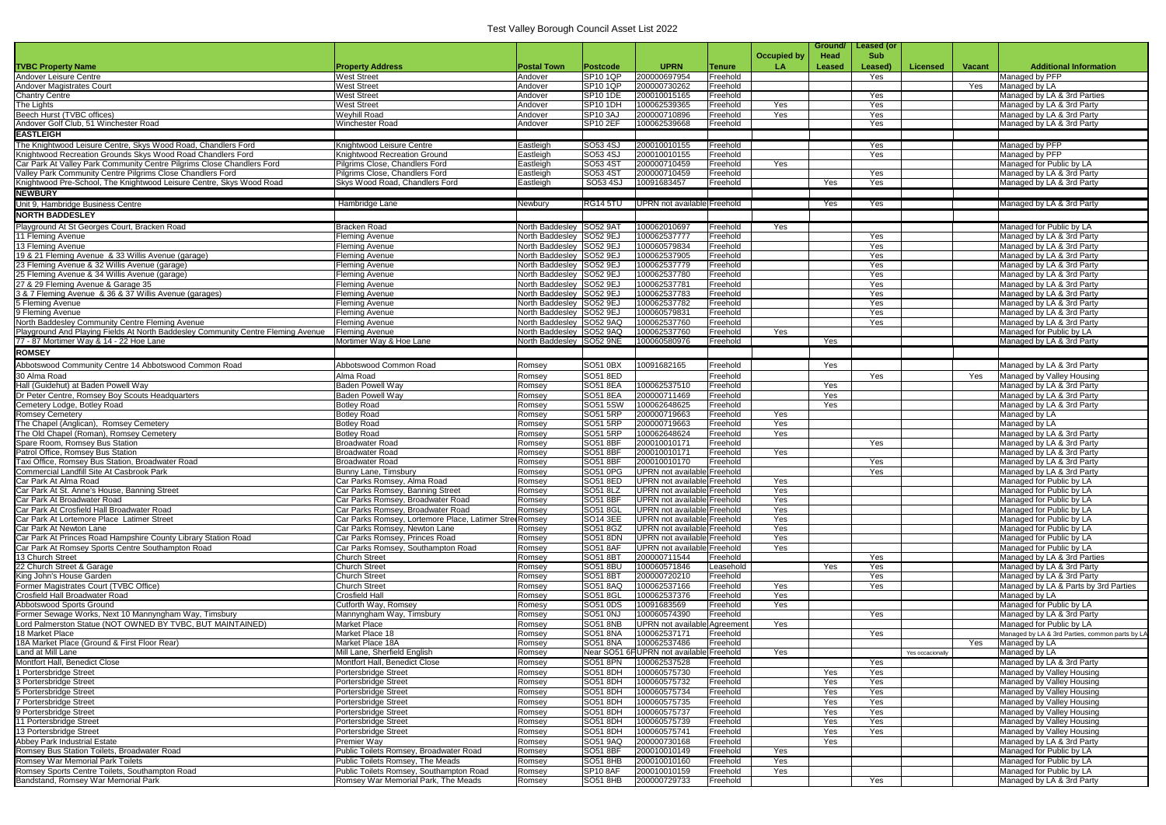|                                                                                                                     |                                                            |                                    |                                         |                                                                   |                      |                    | Ground/       | Leased (or |                  |        |                                                         |
|---------------------------------------------------------------------------------------------------------------------|------------------------------------------------------------|------------------------------------|-----------------------------------------|-------------------------------------------------------------------|----------------------|--------------------|---------------|------------|------------------|--------|---------------------------------------------------------|
|                                                                                                                     |                                                            |                                    |                                         |                                                                   |                      | <b>Occupied by</b> | Head          | <b>Sub</b> |                  |        |                                                         |
| <b>TVBC Property Name</b>                                                                                           | <b>Property Address</b>                                    | <b>Postal Town</b>                 | <b>Postcode</b>                         | <b>UPRN</b>                                                       | <b>Tenure</b>        | LA                 | <b>Leased</b> | Leased)    | <b>Licensed</b>  | Vacant | <b>Additional Information</b>                           |
| Andover Leisure Centre                                                                                              | West Street                                                | Andover                            | <b>SP10 1QP</b>                         | 200000697954                                                      | Freehold             |                    |               | Yes        |                  |        | Managed by PFP                                          |
| <b>Andover Magistrates Court</b>                                                                                    | West Street                                                | Andover                            | <b>SP10 1QP</b>                         | 200000730262                                                      | Freehold             |                    |               |            |                  | Yes    | Managed by LA                                           |
| <b>Chantry Centre</b>                                                                                               | <b>West Street</b>                                         | Andover                            | <b>SP10 1DE</b>                         | 200010015165                                                      | Freehold             |                    |               | Yes        |                  |        | Managed by LA & 3rd Parties                             |
| The Lights                                                                                                          | <b>West Street</b>                                         | Andover                            | <b>SP10 1DH</b>                         | 100062539365                                                      | Freehold             | Yes                |               | Yes        |                  |        | Managed by LA & 3rd Party                               |
| Beech Hurst (TVBC offices)<br>Andover Golf Club, 51 Winchester Road                                                 | <b>Weyhill Road</b><br><b>Winchester Road</b>              | Andover<br>Andover                 | <b>SP10 3AJ</b><br>SP <sub>10</sub> 2EF | 200000710896<br>100062539668                                      | Freehold<br>Freehold | Yes                |               | Yes<br>Yes |                  |        | Managed by LA & 3rd Party<br>Managed by LA & 3rd Party  |
| <b>EASTLEIGH</b>                                                                                                    |                                                            |                                    |                                         |                                                                   |                      |                    |               |            |                  |        |                                                         |
| The Knightwood Leisure Centre, Skys Wood Road, Chandlers Ford                                                       | Knightwood Leisure Centre                                  | Eastleigh                          | SO53 4SJ                                | 200010010155                                                      | Freehold             |                    |               | Yes        |                  |        | Managed by PFP                                          |
| Knightwood Recreation Grounds Skys Wood Road Chandlers Ford                                                         | Knightwood Recreation Ground                               | Eastleigh                          | SO53 4SJ                                | 200010010155                                                      | Freehold             |                    |               | Yes        |                  |        | Managed by PFP                                          |
| Car Park At Valley Park Community Centre Pilgrims Close Chandlers Ford                                              | Pilgrims Close, Chandlers Ford                             | Eastleigh                          | SO53 4ST                                | 200000710459                                                      | Freehold             | Yes                |               |            |                  |        | Managed for Public by LA                                |
| Valley Park Community Centre Pilgrims Close Chandlers Ford                                                          | Pilgrims Close, Chandlers Ford                             | Eastleigh                          | SO53 4ST                                | 200000710459                                                      | Freehold             |                    |               | Yes        |                  |        | Managed by LA & 3rd Party                               |
| Knightwood Pre-School, The Knightwood Leisure Centre, Skys Wood Road                                                | Skys Wood Road, Chandlers Ford                             | Eastleigh                          | SO53 4SJ                                | 10091683457                                                       | Freehold             |                    | Yes           | Yes        |                  |        | Managed by LA & 3rd Party                               |
| <b>NEWBURY</b>                                                                                                      |                                                            |                                    |                                         |                                                                   |                      |                    |               |            |                  |        |                                                         |
| Unit 9, Hambridge Business Centre                                                                                   | Hambridge Lane                                             | Newbury                            | <b>RG14 5TU</b>                         | UPRN not available Freehold                                       |                      |                    | Yes           | Yes        |                  |        | Managed by LA & 3rd Party                               |
| <b>NORTH BADDESLEY</b>                                                                                              |                                                            |                                    |                                         |                                                                   |                      |                    |               |            |                  |        |                                                         |
| Playground At St Georges Court, Bracken Road                                                                        | <b>Bracken Road</b>                                        | North Baddesley SO52 9A            |                                         | 100062010697                                                      | Freehold             | Yes                |               |            |                  |        | Managed for Public by LA                                |
| 11 Fleming Avenue                                                                                                   | Fleming Avenue                                             | North Baddeslev                    | SO52 9EJ                                | 100062537777                                                      | Freehold             |                    |               | Yes        |                  |        | Managed by LA & 3rd Party                               |
| 13 Fleming Avenue                                                                                                   | <b>Fleming Avenue</b>                                      | North Baddesley                    | SO52 9EJ                                | 100060579834                                                      | Freehold             |                    |               | Yes        |                  |        | Managed by LA & 3rd Party                               |
| 19 & 21 Fleming Avenue & 33 Willis Avenue (garage)                                                                  | <b>Fleming Avenue</b>                                      | North Baddesley                    | SO52 9EJ                                | 100062537905                                                      | Freehold             |                    |               | Yes        |                  |        | Managed by LA & 3rd Party                               |
| 23 Fleming Avenue & 32 Willis Avenue (garage)                                                                       | <b>Fleming Avenue</b>                                      | North Baddesley                    | SO52 9EJ                                | 100062537779                                                      | Freehold             |                    |               | Yes        |                  |        | Managed by LA & 3rd Party                               |
| 25 Fleming Avenue & 34 Willis Avenue (garage)                                                                       | Fleming Avenue                                             | North Baddesley                    | SO52 9EJ                                | 100062537780                                                      | Freehold             |                    |               | Yes        |                  |        | Managed by LA & 3rd Party                               |
| 27 & 29 Fleming Avenue & Garage 35<br>3 & 7 Fleming Avenue & 36 & 37 Willis Avenue (garages)                        | Fleming Avenue<br><b>Fleming Avenue</b>                    | North Baddeslev<br>North Baddesley | SO52 9EJ<br>SO52 9EJ                    | 100062537781<br>100062537783                                      | Freehold<br>Freehold |                    |               | Yes<br>Yes |                  |        | Managed by LA & 3rd Party<br>Managed by LA & 3rd Party  |
| 5 Fleming Avenue                                                                                                    | Fleming Avenue                                             | North Baddesley                    | SO52 9EJ                                | 100062537782                                                      | Freehold             |                    |               | Yes        |                  |        | Managed by LA & 3rd Party                               |
| 9 Fleming Avenue                                                                                                    | <b>Fleming Avenue</b>                                      | North Baddesley                    | SO52 9EJ                                | 100060579831                                                      | Freehold             |                    |               | Yes        |                  |        | Managed by LA & 3rd Party                               |
| North Baddesley Community Centre Fleming Avenue                                                                     | <b>Fleming Avenue</b>                                      | North Baddeslev                    | <b>SO52 9AQ</b>                         | 100062537760                                                      | Freehold             |                    |               | Yes        |                  |        | Managed by LA & 3rd Party                               |
| Playground And Playing Fields At North Baddesley Community Centre Fleming Avenue                                    | <b>Fleming Avenue</b>                                      | North Baddeslev                    | SO52 9AQ                                | 100062537760                                                      | Freehold             | Yes                |               |            |                  |        | Managed for Public by LA                                |
| 77 - 87 Mortimer Way & 14 - 22 Hoe Lane                                                                             | Mortimer Way & Hoe Lane                                    | North Baddesley SO52 9NE           |                                         | 100060580976                                                      | Freehold             |                    | Yes           |            |                  |        | Managed by LA & 3rd Party                               |
| <b>ROMSEY</b>                                                                                                       |                                                            |                                    |                                         |                                                                   |                      |                    |               |            |                  |        |                                                         |
| Abbotswood Community Centre 14 Abbotswood Common Road                                                               | Abbotswood Common Road                                     | Romsey                             | SO51 0BX                                | 10091682165                                                       | Freehold             |                    | Yes           |            |                  |        | Managed by LA & 3rd Party                               |
| 30 Alma Road                                                                                                        | Alma Road                                                  | Romsev                             | SO51 8ED                                |                                                                   | Freehold             |                    |               | Yes        |                  | Yes    | Managed by Valley Housing                               |
| Hall (Guidehut) at Baden Powell Way                                                                                 | <b>Baden Powell Way</b>                                    | Romsey                             | SO51 8EA                                | 100062537510                                                      | Freehold             |                    | Yes           |            |                  |        | Managed by LA & 3rd Party                               |
| Dr Peter Centre, Romsey Boy Scouts Headquarters                                                                     | Baden Powell Way                                           | Romsey                             | <b>SO51 8EA</b>                         | 200000711469                                                      | Freehold             |                    | Yes           |            |                  |        | Managed by LA & 3rd Party                               |
| Cemetery Lodge, Botley Road                                                                                         | <b>Botley Road</b>                                         | Romsey                             | SO51 5SW                                | 100062648625                                                      | Freehold             |                    | <b>Yes</b>    |            |                  |        | Managed by LA & 3rd Party                               |
| <b>Romsey Cemetery</b>                                                                                              | <b>Botley Road</b>                                         | Romsev                             | SO51 5RP                                | 200000719663                                                      | Freehold             | Yes                |               |            |                  |        | Managed by LA                                           |
| The Chapel (Anglican), Romsey Cemetery                                                                              | <b>Botley Road</b>                                         | Romsev                             | SO51 5RP                                | 200000719663                                                      | Freehold             | Yes                |               |            |                  |        | Managed by LA                                           |
| The Old Chapel (Roman), Romsey Cemetery                                                                             | <b>Botley Road</b>                                         | Romsey                             | SO51 5RP                                | 100062648624                                                      | Freehold             | Yes                |               |            |                  |        | Managed by LA & 3rd Party                               |
| Spare Room, Romsey Bus Station<br>Patrol Office, Romsey Bus Station                                                 | <b>Broadwater Road</b>                                     | Romsev                             | SO51 8BF                                | 200010010171                                                      | Freehold             |                    |               | Yes        |                  |        | Managed by LA & 3rd Party                               |
| Taxi Office, Romsey Bus Station, Broadwater Road                                                                    | Broadwater Road<br>Broadwater Road                         | Romsey<br>Romsev                   | <b>SO51 8BF</b><br><b>SO51 8BF</b>      | 200010010171<br>200010010170                                      | Freehold<br>Freehold | Yes                |               | Yes        |                  |        | Managed by LA & 3rd Party<br>Managed by LA & 3rd Party  |
| Commercial Landfill Site At Casbrook Park                                                                           | Bunny Lane, Timsbury                                       | Romsev                             | SO51 0PG                                | UPRN not available Freehold                                       |                      |                    |               | Yes        |                  |        | Managed by LA & 3rd Party                               |
| Car Park At Alma Road                                                                                               | Car Parks Romsey, Alma Road                                | Romsey                             | <b>SO51 8ED</b>                         | UPRN not available Freehold                                       |                      | Yes                |               |            |                  |        | Managed for Public by LA                                |
| Car Park At St. Anne's House, Banning Street                                                                        | Car Parks Romsey, Banning Street                           | Romsey                             | SO51 8LZ                                | UPRN not available Freehold                                       |                      | Yes                |               |            |                  |        | Managed for Public by LA                                |
| Car Park At Broadwater Road                                                                                         | Car Parks Romsey, Broadwater Road                          | Romsev                             | SO51 8BF                                | UPRN not available Freehold                                       |                      | Yes                |               |            |                  |        | Managed for Public by LA                                |
| Car Park At Crosfield Hall Broadwater Road                                                                          | Car Parks Romsey, Broadwater Road                          | Romsey                             | SO51 8GI                                | UPRN not available Freehold                                       |                      | Yes                |               |            |                  |        | Managed for Public by LA                                |
| Car Park At Lortemore Place Latimer Street                                                                          | Car Parks Romsey, Lortemore Place, Latimer StreeRomsey     |                                    | SO14 3EE                                | UPRN not available Freehold                                       |                      | Yes                |               |            |                  |        | Managed for Public by LA                                |
| Car Park At Newton Lane                                                                                             | Car Parks Romsey, Newton Lane                              | Romsev                             | SO51 8GZ                                | UPRN not available Freehold                                       |                      | Yes                |               |            |                  |        | Managed for Public by LA                                |
| Car Park At Princes Road Hampshire County Library Station Road<br>Car Park At Romsey Sports Centre Southampton Road | Car Parks Romsey, Princes Road                             | Romsey                             | SO51 8DN<br><b>SO51 8AF</b>             | <b>UPRN</b> not available Freehold<br>UPRN not available Freehold |                      | Yes                |               |            |                  |        | Managed for Public by LA                                |
| 13 Church Street                                                                                                    | Car Parks Romsey, Southampton Road<br><b>Church Street</b> | Romsev<br>Romsey                   | SO51 8B1                                | 200000711544                                                      | Freehold             | Yes                |               | Yes        |                  |        | Managed for Public by LA<br>Managed by LA & 3rd Parties |
| 22 Church Street & Garage                                                                                           | <b>Church Street</b>                                       | Romsey                             | <b>SO51 8BU</b>                         | 100060571846                                                      | Leasehold            |                    | Yes           | Yes        |                  |        | Managed by LA & 3rd Party                               |
| King John's House Garden                                                                                            | <b>Church Street</b>                                       | Romsey                             | SO51 8B1                                | 200000720210                                                      | Freehold             |                    |               | Yes        |                  |        | Managed by LA & 3rd Party                               |
| Former Magistrates Court (TVBC Office)                                                                              | <b>Church Street</b>                                       | Romsey                             | SO51 8AQ                                | 100062537166                                                      | Freehold             | Yes                |               | Yes        |                  |        | Managed by LA & Parts by 3rd Parties                    |
| Crosfield Hall Broadwater Road                                                                                      | <b>Crosfield Hall</b>                                      | Romsey                             | SO51 8GL                                | 100062537376                                                      | Freehold             | Yes                |               |            |                  |        | Managed by LA                                           |
| Abbotswood Sports Ground                                                                                            | Cutforth Way, Romsey                                       | Romesy                             | SO51 0DS                                | 10091683569                                                       | Freehold             | Yes                |               |            |                  |        | Managed for Public by LA                                |
| Former Sewage Works, Next 10 Mannyngham Way, Timsbury                                                               | Mannyngham Way, Timsbury                                   | Romsey                             | SO51 0NJ                                | 100060574390                                                      | Freehold             |                    |               | Yes        |                  |        | Managed by LA & 3rd Party                               |
| Lord Palmerston Statue (NOT OWNED BY TVBC, BUT MAINTAINED)                                                          | <b>Market Place</b>                                        | Romsev                             | <b>SO51 8NB</b>                         | UPRN not available Agreement                                      |                      | Yes                |               |            |                  |        | Managed for Public by LA                                |
| 18 Market Place<br>18A Market Place (Ground & First Floor Rear)                                                     | Market Place 18<br>Market Place 18A                        | Romsey<br>Romsev                   | <b>SO51 8NA</b>                         | 100062537171<br>100062537486                                      | Freehold             |                    |               | Yes        |                  | Yes    | Managed by LA & 3rd Parties, common parts by LA         |
| Land at Mill Lane                                                                                                   | Mill Lane, Sherfield English                               | Romsey                             | <b>SO51 8NA</b><br>Near SO51            | <b>FUPRN</b> not available Freehold                               | Freehold             | Yes                |               |            | Yes occacionally |        | Managed by LA<br>Managed by LA                          |
| Montfort Hall, Benedict Close                                                                                       | Montfort Hall, Benedict Close                              | Romsey                             | <b>SO51 8PN</b>                         | 100062537528                                                      | Freehold             |                    |               | Yes        |                  |        | Managed by LA & 3rd Party                               |
| 1 Portersbridge Street                                                                                              | Portersbridge Street                                       | Romsev                             | SO51 8DH                                | 100060575730                                                      | Freehold             |                    | Yes           | Yes        |                  |        | Managed by Valley Housing                               |
| 3 Portersbridge Street                                                                                              | Portersbridge Street                                       | Romsey                             | <b>SO51 8DH</b>                         | 100060575732                                                      | Freehold             |                    | Yes           | Yes        |                  |        | Managed by Valley Housing                               |
| 5 Portersbridge Street                                                                                              | Portersbridge Street                                       | Romsey                             | <b>SO51 8DH</b>                         | 100060575734                                                      | Freehold             |                    | Yes           | Yes        |                  |        | Managed by Valley Housing                               |
| Portersbridge Street                                                                                                | Portersbridge Street                                       | Romsey                             | <b>SO51 8DH</b>                         | 100060575735                                                      | Freehold             |                    | Yes           | Yes        |                  |        | Managed by Valley Housing                               |
| 9 Portersbridge Street                                                                                              | Portersbridge Street                                       | Romsey                             | <b>SO51 8DH</b>                         | 100060575737                                                      | Freehold             |                    | Yes           | Yes        |                  |        | Managed by Valley Housing                               |
| 11 Portersbridge Street                                                                                             | Portersbridge Street                                       | Romsey                             | <b>SO51 8DH</b>                         | 100060575739                                                      | Freehold             |                    | Yes           | Yes        |                  |        | Managed by Valley Housing                               |
| 13 Portersbridge Street                                                                                             | Portersbridge Street                                       | Romsey                             | <b>SO51 8DH</b>                         | 100060575741                                                      | Freehold             |                    | Yes           | Yes        |                  |        | Managed by Valley Housing                               |
| <b>Abbey Park Industrial Estate</b>                                                                                 | <b>Premier Way</b>                                         | Romsey                             | SO51 9AQ                                | 200000730168                                                      | Freehold             |                    | Yes           |            |                  |        | Managed by LA & 3rd Party                               |
| Romsey Bus Station Toilets, Broadwater Road                                                                         | Public Toilets Romsey, Broadwater Road                     | Romsey                             | <b>SO51 8BF</b>                         | 200010010149                                                      | Freehold             | Yes                |               |            |                  |        | Managed for Public by LA                                |
| <b>Romsey War Memorial Park Toilets</b>                                                                             | Public Toilets Romsey, The Meads                           | Romsey                             | <b>SO51 8HB</b>                         | 200010010160                                                      | Freehold             | Yes                |               |            |                  |        | Managed for Public by LA                                |
| Romsey Sports Centre Toilets, Southampton Road                                                                      | Public Toilets Romsey, Southampton Road                    | Romsey                             | <b>SP10 8AF</b>                         | 200010010159                                                      | Freehold             | Yes                |               |            |                  |        | Managed for Public by LA                                |
| Bandstand, Romsey War Memorial Park                                                                                 | Romsey War Memorial Park, The Meads                        | Romsey                             | <b>SO51 8HB</b>                         | 200000729733                                                      | Freehold             |                    |               | Yes        |                  |        | Managed by LA & 3rd Party                               |